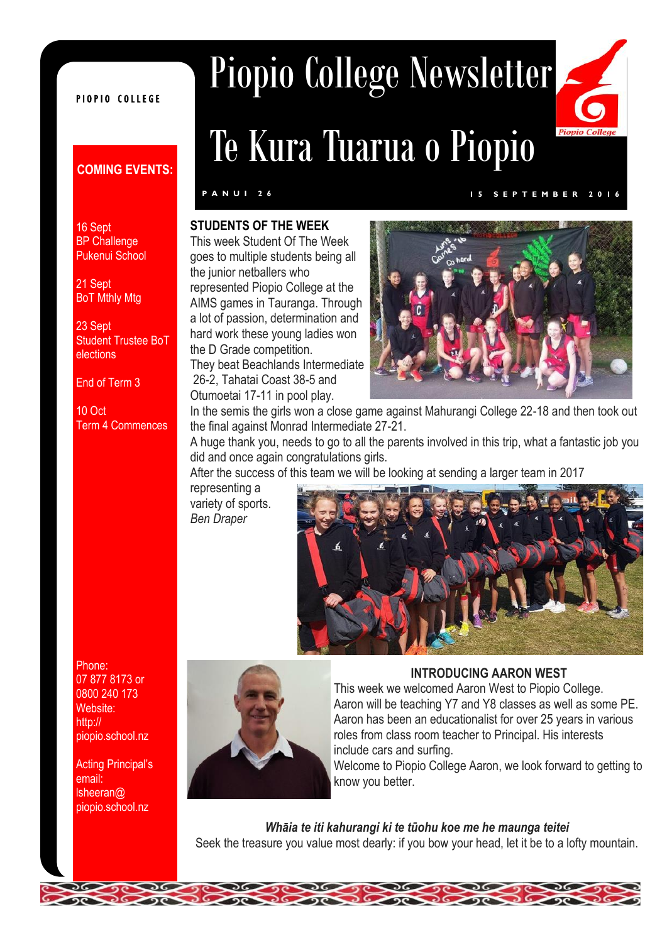#### PIOPIO COLLEGE

#### **COMING EVENTS:**

#### 16 Sept **BP Challenge** Pukenui School

21 Sept **BoT Mthly Mtg** 

23 Sept Student Trustee BoT elections

End of Term 3

10 Oct Term 4 Commences

# Piopio College Newsletter Te Kura Tuarua o Piopio



#### **STUDENTS OF THE WEEK**

This week Student Of The Week goes to multiple students being all the junior netballers who represented Piopio College at the AIMS games in Tauranga. Through a lot of passion, determination and hard work these young ladies won the D Grade competition. They beat Beachlands Intermediate 26-2, Tahatai Coast 38-5 and Otumoetai 17-11 in pool play.

#### **P A N U I 2 6 1 5 S E P T E M B E R 2 0 1 6**



In the semis the girls won a close game against Mahurangi College 22-18 and then took out the final against Monrad Intermediate 27-21.

A huge thank you, needs to go to all the parents involved in this trip, what a fantastic job you did and once again congratulations girls.

After the success of this team we will be looking at sending a larger team in 2017

representing a variety of sports. *Ben Draper*





#### **INTRODUCING AARON WEST**

This week we welcomed Aaron West to Piopio College. Aaron will be teaching Y7 and Y8 classes as well as some PE. Aaron has been an educationalist for over 25 years in various roles from class room teacher to Principal. His interests include cars and surfing.

Welcome to Piopio College Aaron, we look forward to getting to know you better.

*Whāia te iti kahurangi ki te tūohu koe me he maunga teitei* Seek the treasure you value most dearly: if you bow your head, let it be to a lofty mountain.

Phone: 07 877 8173 or 0800 240 173 Website: http:// piopio.school.nz

Acting Principal's email: lsheeran@ piopio.school.nz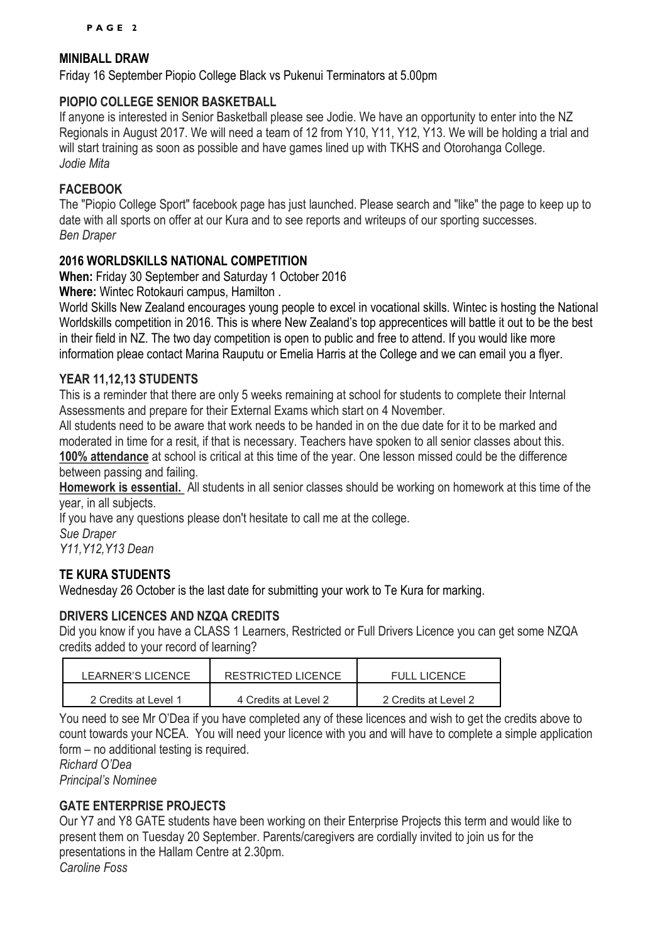#### **MINIBALL DRAW**

Friday 16 September Piopio College Black vs Pukenui Terminators at 5.00pm

#### **PIOPIO COLLEGE SENIOR BASKETBALL**

If anyone is interested in Senior Basketball please see Jodie. We have an opportunity to enter into the NZ Regionals in August 2017. We will need a team of 12 from Y10, Y11, Y12, Y13. We will be holding a trial and will start training as soon as possible and have games lined up with TKHS and Otorohanga College. *Jodie Mita*

#### **FACEBOOK**

The "Piopio College Sport" facebook page has just launched. Please search and "like" the page to keep up to date with all sports on offer at our Kura and to see reports and writeups of our sporting successes. *Ben Draper*

#### **2016 WORLDSKILLS NATIONAL COMPETITION**

**When:** Friday 30 September and Saturday 1 October 2016

**Where:** Wintec Rotokauri campus, Hamilton .

World Skills New Zealand encourages young people to excel in vocational skills. Wintec is hosting the National Worldskills competition in 2016. This is where New Zealand's top apprecentices will battle it out to be the best in their field in NZ. The two day competition is open to public and free to attend. If you would like more information pleae contact Marina Rauputu or Emelia Harris at the College and we can email you a flyer.

#### **YEAR 11,12,13 STUDENTS**

This is a reminder that there are only 5 weeks remaining at school for students to complete their Internal Assessments and prepare for their External Exams which start on 4 November.

All students need to be aware that work needs to be handed in on the due date for it to be marked and moderated in time for a resit, if that is necessary. Teachers have spoken to all senior classes about this. **100% attendance** at school is critical at this time of the year. One lesson missed could be the difference

between passing and failing.

**Homework is essential.** All students in all senior classes should be working on homework at this time of the year, in all subjects.

If you have any questions please don't hesitate to call me at the college. *Sue Draper*

*Y11,Y12,Y13 Dean*

#### **TE KURA STUDENTS**

Wednesday 26 October is the last date for submitting your work to Te Kura for marking.

#### **DRIVERS LICENCES AND NZQA CREDITS**

Did you know if you have a CLASS 1 Learners, Restricted or Full Drivers Licence you can get some NZQA credits added to your record of learning?

| LEARNER'S LICENCE    | RESTRICTED LICENCE   | FULL LICENCE         |
|----------------------|----------------------|----------------------|
| 2 Credits at Level 1 | 4 Credits at Level 2 | 2 Credits at Level 2 |

You need to see Mr O'Dea if you have completed any of these licences and wish to get the credits above to count towards your NCEA. You will need your licence with you and will have to complete a simple application form – no additional testing is required.

*Richard O'Dea*

### *Principal's Nominee*

#### **GATE ENTERPRISE PROJECTS**

Our Y7 and Y8 GATE students have been working on their Enterprise Projects this term and would like to present them on Tuesday 20 September. Parents/caregivers are cordially invited to join us for the presentations in the Hallam Centre at 2.30pm. *Caroline Foss*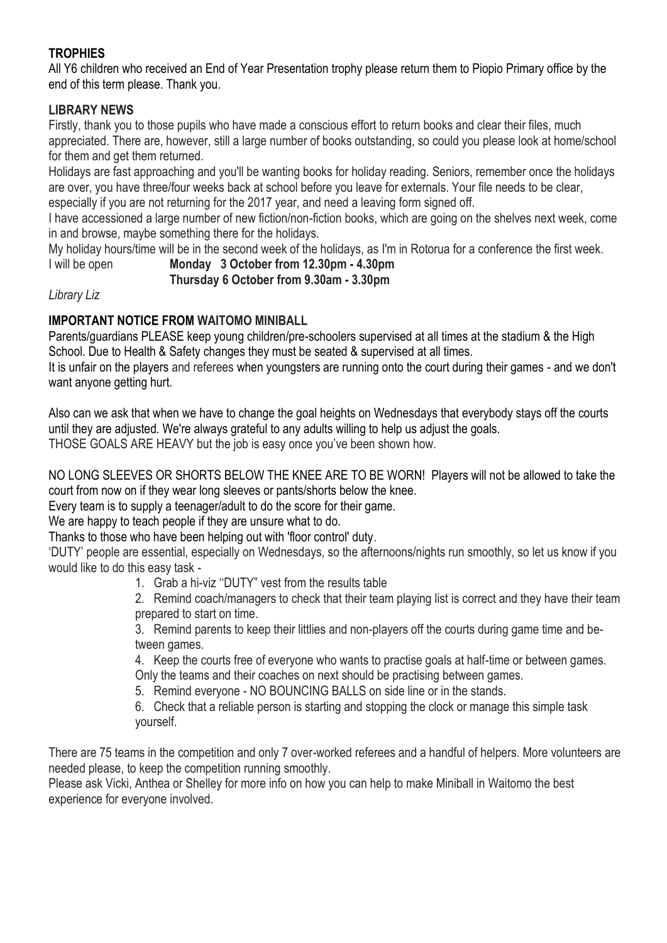#### **TROPHIES**

All Y6 children who received an End of Year Presentation trophy please return them to Piopio Primary office by the end of this term please. Thank you.

#### **LIBRARY NEWS**

Firstly, thank you to those pupils who have made a conscious effort to return books and clear their files, much appreciated. There are, however, still a large number of books outstanding, so could you please look at home/school for them and get them returned.

Holidays are fast approaching and you'll be wanting books for holiday reading. Seniors, remember once the holidays are over, you have three/four weeks back at school before you leave for externals. Your file needs to be clear, especially if you are not returning for the 2017 year, and need a leaving form signed off.

I have accessioned a large number of new fiction/non-fiction books, which are going on the shelves next week, come in and browse, maybe something there for the holidays.

My holiday hours/time will be in the second week of the holidays, as I'm in Rotorua for a conference the first week.

I will be open **Monday 3 October from 12.30pm - 4.30pm**

 **Thursday 6 October from 9.30am - 3.30pm**

*Library Liz*

#### **IMPORTANT NOTICE FROM WAITOMO MINIBALL**

Parents/guardians PLEASE keep young children/pre-schoolers supervised at all times at the stadium & the High School. Due to Health & Safety changes they must be seated & supervised at all times.

It is unfair on the players and referees when youngsters are running onto the court during their games - and we don't want anyone getting hurt.

Also can we ask that when we have to change the goal heights on Wednesdays that everybody stays off the courts until they are adjusted. We're always grateful to any adults willing to help us adjust the goals. THOSE GOALS ARE HEAVY but the job is easy once you've been shown how.

NO LONG SLEEVES OR SHORTS BELOW THE KNEE ARE TO BE WORN! Players will not be allowed to take the court from now on if they wear long sleeves or pants/shorts below the knee.

Every team is to supply a teenager/adult to do the score for their game.

We are happy to teach people if they are unsure what to do.

Thanks to those who have been helping out with 'floor control' duty.

'DUTY' people are essential, especially on Wednesdays, so the afternoons/nights run smoothly, so let us know if you would like to do this easy task -

1. Grab a hi-viz ''DUTY" vest from the results table

2. Remind coach/managers to check that their team playing list is correct and they have their team prepared to start on time.

3. Remind parents to keep their littlies and non-players off the courts during game time and between games.

4. Keep the courts free of everyone who wants to practise goals at half-time or between games. Only the teams and their coaches on next should be practising between games.

5. Remind everyone - NO BOUNCING BALLS on side line or in the stands.

6. Check that a reliable person is starting and stopping the clock or manage this simple task yourself.

There are 75 teams in the competition and only 7 over-worked referees and a handful of helpers. More volunteers are needed please, to keep the competition running smoothly.

Please ask Vicki, Anthea or Shelley for more info on how you can help to make Miniball in Waitomo the best experience for everyone involved.